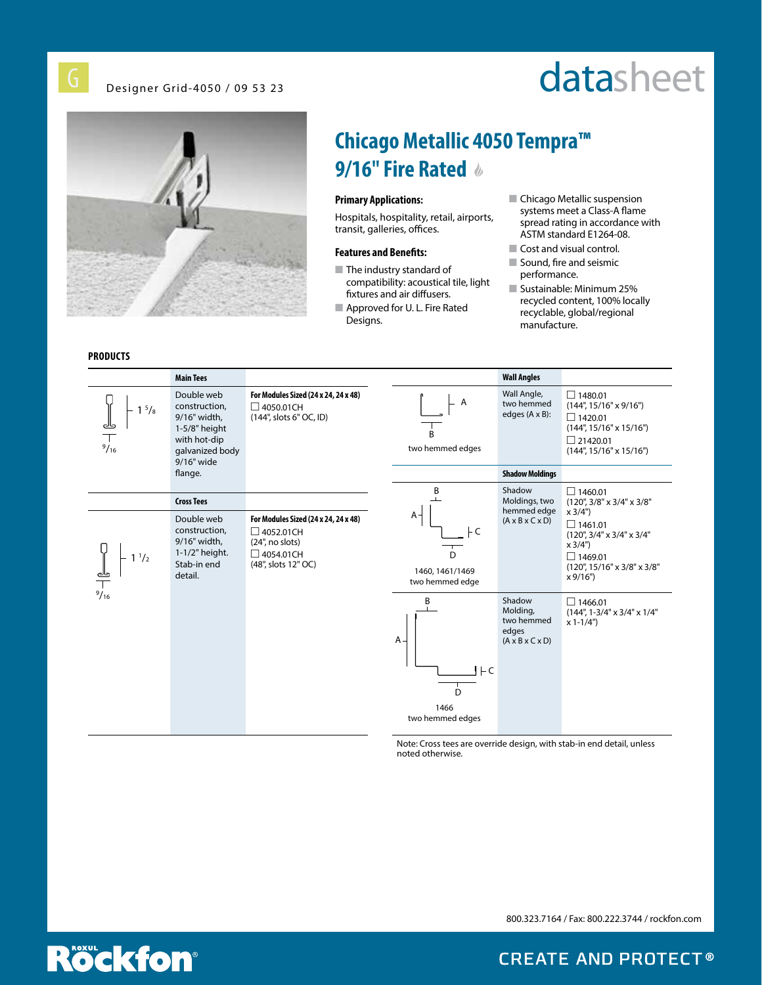Designer Grid-4050 / 09 53 23

# datasheet



### **PRODUCTS**

### **Chicago Metallic 4050 Tempra™ 9/16" Fire Rated**

#### **Primary Applications:**

Hospitals, hospitality, retail, airports, transit, galleries, offices.

#### **Features and Benefits:**

- $\blacksquare$  The industry standard of compatibility: acoustical tile, light fixtures and air diffusers.
- **n** Approved for U. L. Fire Rated Designs.

#### ■ Chicago Metallic suspension systems meet a Class-A flame spread rating in accordance with ASTM standard E1264-08.

- Cost and visual control.
- $\blacksquare$  Sound, fire and seismic performance.
- **Sustainable: Minimum 25%** recycled content, 100% locally recyclable, global/regional manufacture.



Note: Cross tees are override design, with stab-in end detail, unless noted otherwise.

800.323.7164 / Fax: 800.222.3744 / rockfon.com



**CREATE AND PROTECT®**